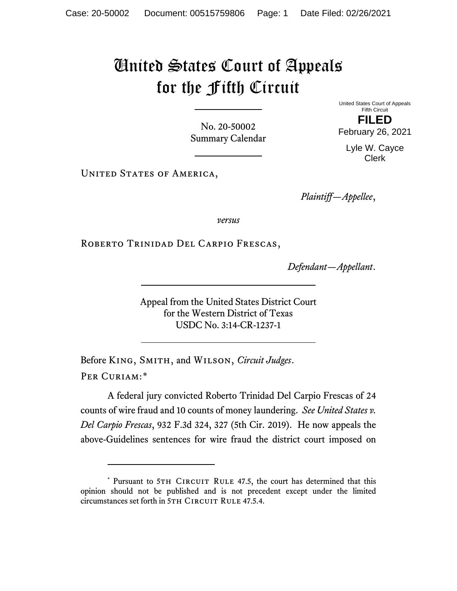## United States Court of Appeals for the Fifth Circuit

No. 20-50002 Summary Calendar United States Court of Appeals Fifth Circuit

**FILED** February 26, 2021

Lyle W. Cayce Clerk

UNITED STATES OF AMERICA,

*Plaintiff—Appellee*,

*versus*

Roberto Trinidad Del Carpio Frescas,

*Defendant—Appellant*.

Appeal from the United States District Court for the Western District of Texas USDC No. 3:14-CR-1237-1

Before King, Smith, and Wilson, *Circuit Judges*. Per Curiam:[\\*](#page-0-0)

A federal jury convicted Roberto Trinidad Del Carpio Frescas of 24 counts of wire fraud and 10 counts of money laundering. *See United States v. Del Carpio Frescas*, 932 F.3d 324, 327 (5th Cir. 2019). He now appeals the above-Guidelines sentences for wire fraud the district court imposed on

<span id="page-0-0"></span><sup>\*</sup> Pursuant to 5TH CIRCUIT RULE 47.5, the court has determined that this opinion should not be published and is not precedent except under the limited circumstances set forth in 5TH CIRCUIT RULE 47.5.4.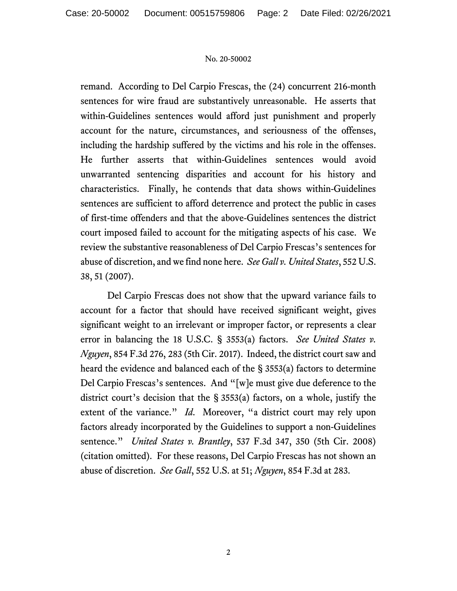## No. 20-50002

remand. According to Del Carpio Frescas, the (24) concurrent 216-month sentences for wire fraud are substantively unreasonable. He asserts that within-Guidelines sentences would afford just punishment and properly account for the nature, circumstances, and seriousness of the offenses, including the hardship suffered by the victims and his role in the offenses. He further asserts that within-Guidelines sentences would avoid unwarranted sentencing disparities and account for his history and characteristics. Finally, he contends that data shows within-Guidelines sentences are sufficient to afford deterrence and protect the public in cases of first-time offenders and that the above-Guidelines sentences the district court imposed failed to account for the mitigating aspects of his case. We review the substantive reasonableness of Del Carpio Frescas's sentences for abuse of discretion, and we find none here. *See Gall v. United States*, 552 U.S. 38, 51 (2007).

Del Carpio Frescas does not show that the upward variance fails to account for a factor that should have received significant weight, gives significant weight to an irrelevant or improper factor, or represents a clear error in balancing the 18 U.S.C. § 3553(a) factors. *See United States v. Nguyen*, 854 F.3d 276, 283 (5th Cir. 2017). Indeed, the district court saw and heard the evidence and balanced each of the § 3553(a) factors to determine Del Carpio Frescas's sentences. And "[w]e must give due deference to the district court's decision that the § 3553(a) factors, on a whole, justify the extent of the variance." *Id.* Moreover, "a district court may rely upon factors already incorporated by the Guidelines to support a non-Guidelines sentence." *United States v. Brantley*, 537 F.3d 347, 350 (5th Cir. 2008) (citation omitted). For these reasons, Del Carpio Frescas has not shown an abuse of discretion. *See Gall*, 552 U.S. at 51; *Nguyen*, 854 F.3d at 283.